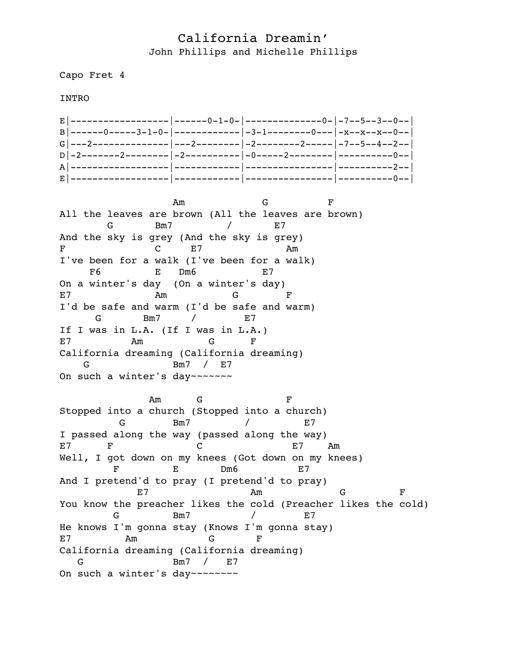## California Dreamin' John Phillips and Michelle Phillips

Capo Fret 4

INTRO



 Am G F All the leaves are brown (All the leaves are brown) G Bm7 / E7 And the sky is grey (And the sky is grey) F C E7 Am I've been for a walk (I've been for a walk) F6 B Dm6 E7 On a winter's day (On a winter's day) E7 Am G F I'd be safe and warm (I'd be safe and warm) G Bm7 / E7 If I was in L.A. (If I was in L.A.) E7 Am G F California dreaming (California dreaming) G Bm7 / E7 On such a winter's day~~~~~~~

 Am G F Stopped into a church (Stopped into a church) G Bm7 / E7 I passed along the way (passed along the way) E7 F C E7 Am Well, I got down on my knees (Got down on my knees) F E Dm6 E7 And I pretend'd to pray (I pretend'd to pray) E7 Am G F You know the preacher likes the cold (Preacher likes the cold) G Bm7 / E7 He knows I'm gonna stay (Knows I'm gonna stay) E7 Am G F California dreaming (California dreaming) G Bm7 / E7 On such a winter's day --------